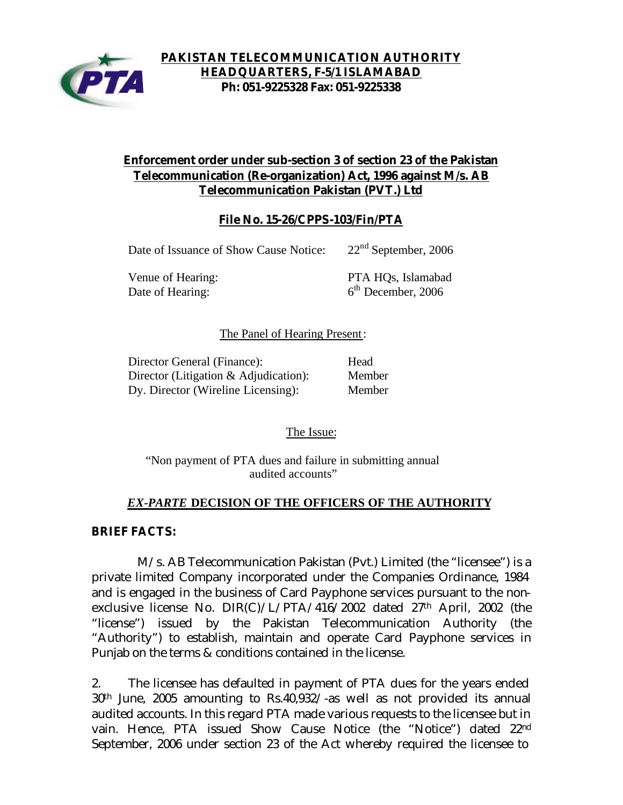

## **Enforcement order under sub-section 3 of section 23 of the Pakistan Telecommunication (Re-organization) Act, 1996 against M/s. AB Telecommunication Pakistan (PVT.) Ltd**

## **File No. 15-26/CPPS-103/Fin/PTA**

Date of Issuance of Show Cause Notice: 22<sup>nd</sup> September, 2006

Date of Hearing:

Venue of Hearing: PTA HQs, Islamabad  $6<sup>th</sup>$  December, 2006

### The Panel of Hearing Present:

| Director General (Finance):              | Head   |
|------------------------------------------|--------|
| Director (Litigation $\&$ Adjudication): | Member |
| Dy. Director (Wireline Licensing):       | Member |

The Issue:

"Non payment of PTA dues and failure in submitting annual audited accounts"

### *EX-PARTE* **DECISION OF THE OFFICERS OF THE AUTHORITY**

### **BRIEF FACTS:**

 M/s. AB Telecommunication Pakistan (Pvt.) Limited (the "licensee") is a private limited Company incorporated under the Companies Ordinance, 1984 and is engaged in the business of Card Payphone services pursuant to the nonexclusive license No. DIR(C)/L/PTA/416/2002 dated 27th April, 2002 (the "license") issued by the Pakistan Telecommunication Authority (the "Authority") to establish, maintain and operate Card Payphone services in Punjab on the terms & conditions contained in the license.

2. The licensee has defaulted in payment of PTA dues for the years ended 30th June, 2005 amounting to Rs.40,932/-as well as not provided its annual audited accounts. In this regard PTA made various requests to the licensee but in vain. Hence, PTA issued Show Cause Notice (the "Notice") dated 22nd September, 2006 under section 23 of the Act whereby required the licensee to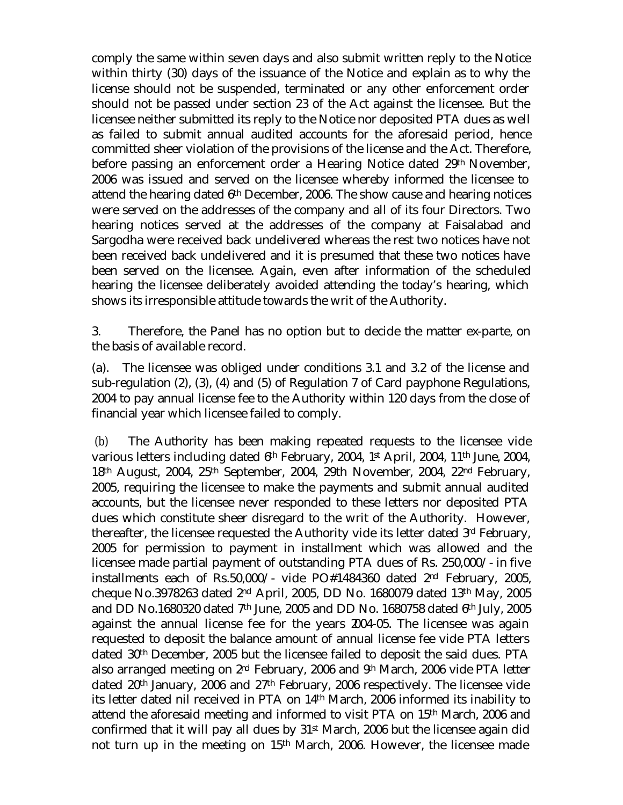comply the same within seven days and also submit written reply to the Notice within thirty (30) days of the issuance of the Notice and explain as to why the license should not be suspended, terminated or any other enforcement order should not be passed under section 23 of the Act against the licensee. But the licensee neither submitted its reply to the Notice nor deposited PTA dues as well as failed to submit annual audited accounts for the aforesaid period, hence committed sheer violation of the provisions of the license and the Act. Therefore, before passing an enforcement order a Hearing Notice dated 29th November, 2006 was issued and served on the licensee whereby informed the licensee to attend the hearing dated 6th December, 2006. The show cause and hearing notices were served on the addresses of the company and all of its four Directors. Two hearing notices served at the addresses of the company at Faisalabad and Sargodha were received back undelivered whereas the rest two notices have not been received back undelivered and it is presumed that these two notices have been served on the licensee. Again, even after information of the scheduled hearing the licensee deliberately avoided attending the today's hearing, which shows its irresponsible attitude towards the writ of the Authority.

3. Therefore, the Panel has no option but to decide the matter ex-parte, on the basis of available record.

(a). The licensee was obliged under conditions 3.1 and 3.2 of the license and sub-regulation (2), (3), (4) and (5) of Regulation 7 of Card payphone Regulations, 2004 to pay annual license fee to the Authority within 120 days from the close of financial year which licensee failed to comply.

 (b) The Authority has been making repeated requests to the licensee vide various letters including dated 6th February, 2004, 1st April, 2004, 11th June, 2004, 18th August, 2004, 25th September, 2004, 29th November, 2004, 22nd February, 2005, requiring the licensee to make the payments and submit annual audited accounts, but the licensee never responded to these letters nor deposited PTA dues which constitute sheer disregard to the writ of the Authority. However, thereafter, the licensee requested the Authority vide its letter dated 3rd February, 2005 for permission to payment in installment which was allowed and the licensee made partial payment of outstanding PTA dues of Rs. 250,000/- in five installments each of Rs.50,000/- vide PO#1484360 dated  $2<sup>nd</sup>$  February, 2005, cheque No.3978263 dated 2nd April, 2005, DD No. 1680079 dated 13th May, 2005 and DD No.1680320 dated 7th June, 2005 and DD No. 1680758 dated 6th July, 2005 against the annual license fee for the years 2004-05. The licensee was again requested to deposit the balance amount of annual license fee vide PTA letters dated 30th December, 2005 but the licensee failed to deposit the said dues. PTA also arranged meeting on 2nd February, 2006 and 9th March, 2006 vide PTA letter dated 20th January, 2006 and 27th February, 2006 respectively. The licensee vide its letter dated nil received in PTA on 14th March, 2006 informed its inability to attend the aforesaid meeting and informed to visit PTA on 15th March, 2006 and confirmed that it will pay all dues by 31<sup>st</sup> March, 2006 but the licensee again did not turn up in the meeting on 15th March, 2006. However, the licensee made